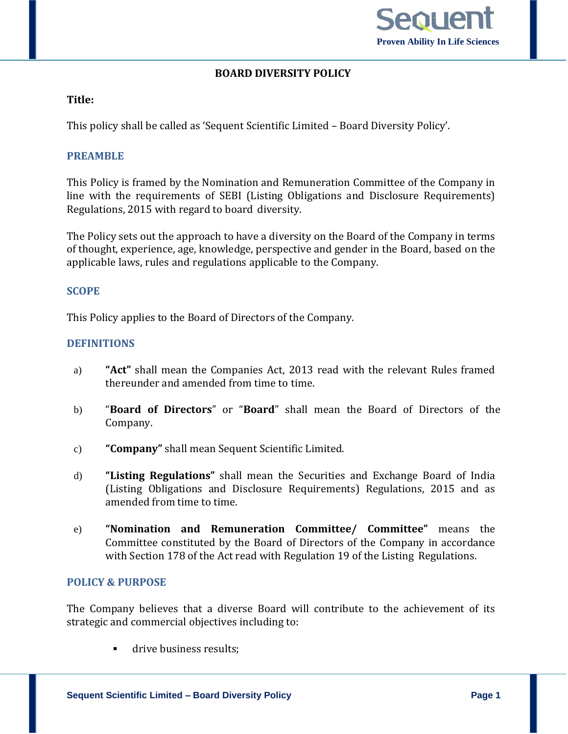

# **BOARD DIVERSITY POLICY**

## **Title:**

This policy shall be called as 'Sequent Scientific Limited – Board Diversity Policy'.

## **PREAMBLE**

This Policy is framed by the Nomination and Remuneration Committee of the Company in line with the requirements of SEBI (Listing Obligations and Disclosure Requirements) Regulations, 2015 with regard to board diversity.

The Policy sets out the approach to have a diversity on the Board of the Company in terms of thought, experience, age, knowledge, perspective and gender in the Board, based on the applicable laws, rules and regulations applicable to the Company.

### **SCOPE**

This Policy applies to the Board of Directors of the Company.

## **DEFINITIONS**

- a) **"Act"** shall mean the Companies Act, 2013 read with the relevant Rules framed thereunder and amended from time to time.
- b) "**Board of Directors**" or "**Board**" shall mean the Board of Directors of the Company.
- c) **"Company"** shall mean Sequent Scientific Limited.
- d) **"Listing Regulations"** shall mean the Securities and Exchange Board of India (Listing Obligations and Disclosure Requirements) Regulations, 2015 and as amended from time to time.
- e) **"Nomination and Remuneration Committee/ Committee"** means the Committee constituted by the Board of Directors of the Company in accordance with Section 178 of the Act read with Regulation 19 of the Listing Regulations.

## **POLICY & PURPOSE**

The Company believes that a diverse Board will contribute to the achievement of its strategic and commercial objectives including to:

drive business results;